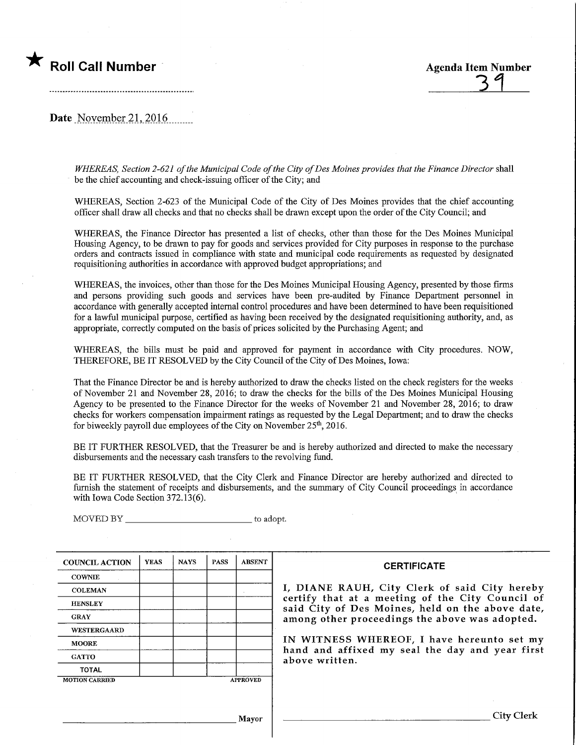

Date November 21, 2016.

WHEREAS, Section 2-621 of the Municipal Code of the City of Des Moines provides that the Finance Director shall be the chief accounting and check-issuing officer of the City; and

WHEREAS, Section 2-623 of the Municipal Code of the City of Des Moines provides that the chief accounting officer shall draw all checks and that no checks shall be drawn except upon the order of the City Council; and

WHEREAS, the Fmance Director has presented a list of checks, other than those for the Des Moines Municipal Housing Agency, to be drawn to pay for goods and services provided for City purposes in response to the purchase orders and contracts issued in compliance with state and municipal code requirements as requested by designated requisitioning authorities in accordance with approved budget appropriations; and

WHEREAS, the invoices, other than those for the Des Moines Municipal Housing Agency, presented by those firms and persons providing such goods and services have been pre-audited by Finance Department personnel in accordance with generally accepted internal control procedures and have been determined to have been requisitioned for a lawful municipal purpose, certified as having been received by the designated requisitioning authority, and, as appropriate, correctly computed on the basis of prices solicited by the Purchasing Agent; and

WHEREAS, the bills must be paid and approved for payment in accordance with City procedures. NOW, THEREFORE, BE IT RESOLVED by the City Council of the City of Des Moines, Iowa:

That the Finance Director be and is hereby authorized to draw the checks listed on the check registers for the weeks of November 21 and November 28, 2016; to draw the checks for the bills of the Des Moines Municipal Housing Agency to be presented to the Finance Director for the weeks of November 21 and November 28, 2016; to draw checks for workers compensation impainnent ratings as requested by the Legal Department; and to draw the checks for biweekly payroll due employees of the City on November  $25<sup>th</sup>$ , 2016.

BE IT FURTHER RESOLVED, that the Treasurer be and is hereby authorized and directed to make the necessary disbursements and the necessary cash transfers to the revolving fund.

BE IT FURTHER RESOLVED, that the City Clerk and Finance Director are hereby authorized and directed to furnish the statement of receipts and disbursements, and the summary of City Council proceedings in accordance with Iowa Code Section 372.13(6).

COUNCIL ACTION **COWNIE COLEMAN HENSLEY** GRAY WESTERGAARD MOORE **GATTO** TOTAL YEAS MOTION CARRIED NAYS | PASS **APPROVED** ABSENT

MOVED BY \_\_\_\_\_\_\_\_\_\_\_\_\_\_\_\_\_\_\_\_\_\_\_\_\_\_\_\_\_\_\_\_\_\_ to adopt.

#### **CERTIFICATE**

I, DIANE RAUH, City Clerk of said City hereby certify that at a meeting of the City Council of said City of Des Moines, held on the above date, among other proceedings the above was adopted.

IN WITNESS WHEREOF, I have hereunto set my hand and affixed my seal the day and year first above written.

Mayor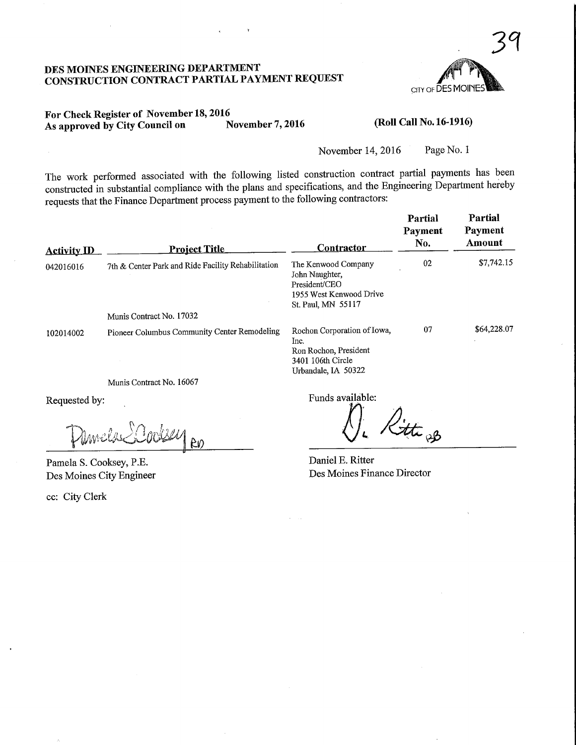

## DES MOmES ENGINEERING DEPARTMENT CONSTRUCTION CONTRACT PARTIAL PAYMENT REQUEST

## For Check Register of November 18, 2016<br>As approved by City Council on November 7, 2016 As approved by City Council on

(Roll Call No. 16-1916)

November 14, 2016 Page No. 1

The work performed associated with the following listed construction contract partial payments has been constructed in substantial compliance with the plans and specifications, and the Engineering Department hereby requests that the Finance Department process payment to the following contractors:

| <b>Activity ID</b> | <u>Project Title</u>                               | <b>Contractor</b>                                                                                        | Partial<br>Payment<br>No. | Partial<br>Payment<br>Amount |
|--------------------|----------------------------------------------------|----------------------------------------------------------------------------------------------------------|---------------------------|------------------------------|
| 042016016          | 7th & Center Park and Ride Facility Rehabilitation | The Kenwood Company<br>John Naughter,<br>President/CEO<br>1955 West Kenwood Drive<br>St. Paul, MN 55117  | 02                        | \$7,742.15                   |
|                    | Munis Contract No. 17032                           |                                                                                                          |                           |                              |
| 102014002          | Pioneer Columbus Community Center Remodeling       | Rochon Corporation of Iowa,<br>Inc.<br>Ron Rochon, President<br>3401 106th Circle<br>Urbandale, IA 50322 | 07                        | \$64,228.07                  |
|                    | Munis Contract No. 16067                           |                                                                                                          |                           |                              |

Requested by:

 $\lambda^{\prime\prime}_{\rm 100}$  $80$ 

Pamela S. Cooksey, P.E. Des Moines City Engineer

ec: City Clerk

Funds available:

litte 93

Daniel E. Ritter Des Moines Finance Director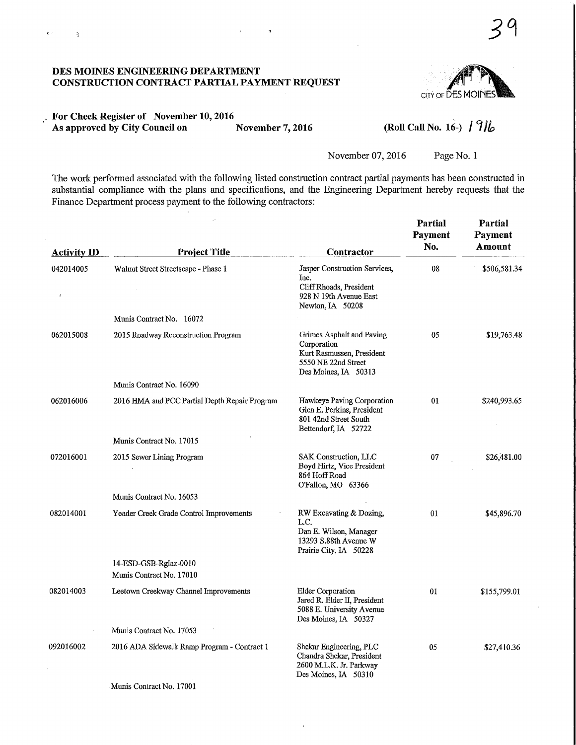#### DES MOINES ENGINEERING DEPARTMENT CONSTRUCTION CONTRACT PARTIAL PAYMENT REQUEST

 $\mathbf{g} \rightarrow$ 

 $\lnot$   $\mathbf{3}$ 



## For Check Register of November 10,2016 As approved by City Council on November 7, 2016

## (Roll Call No. 16-)  $/ 9$ lo

Partial

November 07, 2016 Page No. 1

 $\mathcal{A}^{\mathcal{A}}$ 

The work performed associated with the following listed construction contract partial payments has been constructed in substantial compliance with the plans and specifications, and the Engineering Department hereby requests that the Finance Department process payment to the following contractors:

 $\mathbf{r}$ 

| <b>Activity ID</b> | <b>Project Title</b>                          | Contractor                                                                                                           | Partial<br>Payment<br>No. | Partial<br>Payment<br>Amount |
|--------------------|-----------------------------------------------|----------------------------------------------------------------------------------------------------------------------|---------------------------|------------------------------|
| 042014005          | Walnut Street Streetscape - Phase 1           | Jasper Construction Services,<br>Inc.<br>Cliff Rhoads, President<br>928 N 19th Avenue East<br>Newton, IA 50208       | 08                        | \$506,581.34                 |
|                    | Munis Contract No. 16072                      |                                                                                                                      |                           |                              |
| 062015008          | 2015 Roadway Reconstruction Program           | Grimes Asphalt and Paving<br>Corporation<br>Kurt Rasmussen, President<br>5550 NE 22nd Street<br>Des Moines, IA 50313 | 05                        | \$19,763.48                  |
|                    | Munis Contract No. 16090                      |                                                                                                                      |                           |                              |
| 062016006          | 2016 HMA and PCC Partial Depth Repair Program | Hawkeye Paving Corporation<br>Glen E. Perkins, President<br>801 42nd Street South<br>Bettendorf, IA 52722            | 01                        | \$240,993.65                 |
|                    | Munis Contract No. 17015                      |                                                                                                                      |                           |                              |
| 072016001          | 2015 Sewer Lining Program                     | SAK Construction, LLC<br>Boyd Hirtz, Vice President<br>864 Hoff Road<br>O'Fallon, MO 63366                           | 07                        | \$26,481.00                  |
|                    | Munis Contract No. 16053                      |                                                                                                                      |                           |                              |
| 082014001          | Yeader Creek Grade Control Improvements       | RW Excavating & Dozing,<br>L.C.<br>Dan E. Wilson, Manager<br>13293 S.88th Avenue W<br>Prairie City, IA 50228         | 01                        | \$45,896.70                  |
|                    | 14-ESD-GSB-Rglaz-0010                         |                                                                                                                      |                           |                              |
|                    | Munis Contract No. 17010                      |                                                                                                                      |                           |                              |
| 082014003          | Leetown Creekway Channel Improvements         | <b>Elder Corporation</b><br>Jared R. Elder II, President<br>5088 E. University Avenue<br>Des Moines, IA 50327        | 01                        | \$155,799.01                 |
|                    | Munis Contract No. 17053                      |                                                                                                                      |                           |                              |
| 092016002          | 2016 ADA Sidewalk Ramp Program - Contract 1   | Shekar Engineering, PLC<br>Chandra Shekar, President<br>2600 M.L.K. Jr. Parkway<br>Des Moines, IA 50310              | 05                        | \$27,410.36                  |
|                    | $-2$ $-2$ $-2$ $-2$<br>$\sim$                 |                                                                                                                      |                           |                              |

Munis Contract No. 17001